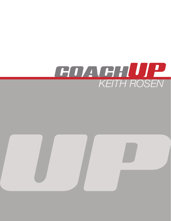

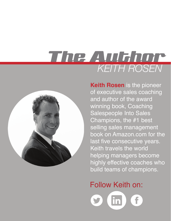## The Author *KEITH ROSEN*



**[Keith Rosen](http://keithrosen.com/about/)** is the pioneer of executive sales coaching and author of the award winning book, [Coaching](http://www.amazon.com/exec/obidos/ASIN/0470142510/wwwprofitbuil-20)  Salespeople Into Sales Champions, the #1 best selling sales management [book on Amazon.com for the](http://www.amazon.com/exec/obidos/ASIN/0470142510/wwwprofitbuil-20)  last five consecutive years. Keith travels the world helping managers become highly effective coaches who build teams of champions.

Follow Keith on:

 $\binom{1}{n}$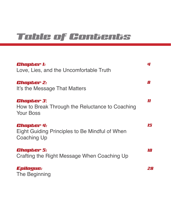### Table of Contents

| <b>Chapter I:</b>                                                                         | U        |
|-------------------------------------------------------------------------------------------|----------|
| Love, Lies, and the Uncomfortable Truth                                                   |          |
| <b>Chapter 2:</b><br>It's the Message That Matters                                        | <b>R</b> |
| <b>Chapter 3:</b><br>How to Break Through the Reluctance to Coaching<br><b>Your Boss</b>  | N        |
| <b>Chapter 4:</b><br>Eight Guiding Principles to Be Mindful of When<br><b>Coaching Up</b> | 15       |
| <b>Chapter 5:</b><br>Crafting the Right Message When Coaching Up                          | 18       |
| <b>Epilogue:</b><br>The Beginning                                                         | 28       |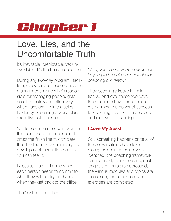## <span id="page-3-0"></span>Chapter 1

### Love, Lies, and the Uncomfortable Truth

It's inevitable, predictable, yet unavoidable. It's the human condition.

During any two-day program I facilitate, every sales salesperson, sales manager or anyone who's responsible for managing people, gets coached safely and effectively when transforming into a sales leader by becoming a world class executive sales coach.

Yet, for some leaders who went on this journey and are just about to cross the finish line to complete their leadership coach training and development, a reaction occurs. You can feel it.

Because it is at this time when each person needs to commit to what they will do, try or change when they get back to the office.

That's when it hits them.

*"Wait, you mean, we're now actually going to be held accountable for coaching our team?"*

They seemingly freeze in their tracks. And over these two days, these leaders have experienced many times, the power of successful coaching – as both the provider and receiver of coaching!

#### *I Love My Boss!*

Still, something happens once all of the conversations have taken place; their course objectives are identified, the coaching framework is introduced, their concerns, challenges and fears are addressed, the various modules and topics are discussed, the simulations and exercises are completed.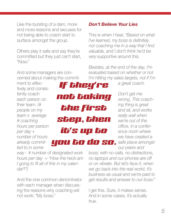Like the bursting of a dam, more and more reasons and excuses for not being able to coach start to surface amongst the group.

Others play it safe and say they're committed but they just can't start, "Now."

And some managers are concerned about making the commit-

ment to effectively and consistently coach each person on their team. *(# people on my team x average # coaching hours per person per day + number of hours already committed to in some* 

If they're not taking the first step, then it's up to you to do so.

*a great coach.* 

*Don't get me wrong. This coaching thing is great and all, and works really well when we're out of the office, in a conference room where we have created a safe place amongst our peers and* 

*way - # number of designated work hours per day = "How the heck am I going to fit all of this in my calendar?")*

And the one common denominator with each manager when discussing the reasons why coaching will not work: "My boss."

*boss; with no calls, no distractions, no laptops and our phones are off or on vibrate. But let's face it, when we go back into the real world, it's business as usual and we're paid to get results and answer to our boss."*

I get this. Sure, it makes sense. And in some cases, it's actually true.

#### *Don't Believe Your Lies*

This is when I hear, *"Based on what I've learned, my boss is definitely not coaching me in a way that I find valuable, and I don't think he'd be very supportive around this.* 

*Besides, at the end of the day, I'm evaluated based on whether or not I'm hitting my sales targets, not if I'm*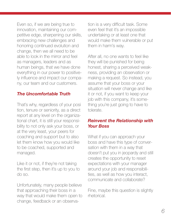Even so, if we are being true to innovation, maintaining our competitive edge, sharpening our skills, embracing new challenges and honoring continued evolution and change, then we all need to be able to look in the mirror and feel as managers, leaders and as human beings, that we have done everything in our power to positively influence and impact our company, our team and our customers.

#### *The Uncomfortable Truth*

That's why, regardless of your posi tion, tenure or seniority, as a direct report at any level on the organizational chart, it is still your responsibility to not only ask your boss, or at the very least, your peers for coaching and support but to also let them know how you would like to be coached, supported and managed.

Like it or not, if they're not taking the first step, then it's up to you to do so.

Unfortunately, many people believe that approaching their boss in a way that would make them open to change, feedback or an observation is a very difficult task. Some even feel that it's an impossible undertaking or at least one that would make them vulnerable or put them in harm's way.

After all, no one wants to feel like they will be punished for being honest, sharing a perceived weakness, providing an observation or making a request. So instead, you assume that your boss or your situation will never change and like it or not, if you want to keep your job with this company, it's something you're just going to have to tolerate.

#### *Reinvent the Relationship with Your Boss*

What if you can approach your boss and have this type of conversation with them in a way that doesn't put you in jeopardy and still creates the opportunity to reset expectations with your manager around your job and responsibilities, as well as how you interact, communicate and collaborate?

Fine, maybe this question is slightly rhetorical.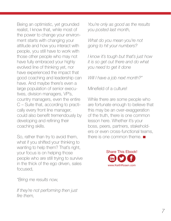Being an optimistic, yet grounded realist, I know that, while most of the power to change your environment starts with changing your attitude and how you interact with people, you still have to work with those other people who may not have fully embraced your highly evolved line of thinking yet, nor have experienced the impact that good coaching and leadership can have. And maybe there's even a large population of senior executives, division managers, VP's, country managers, even the entire C – Suite that, according to practically every front line manager, could also benefit tremendously by developing and refining their coaching skills.

So, rather than try to avoid them, what if you shifted your thinking to wanting to help them? That's right, your focus is on helping those people who are still trying to survive in the thick of the ego driven, sales focused,

*You're only as good as the results you posted last month,* 

*What do you mean you're not going to hit your numbers?*

*I know it's tough but that's just how it is so get out there and do what you need to get it done*

*Will I have a job next month?"*

Minefield of a culture!

While there are some people who are fortunate enough to believe that this may be an over-exaggeration of the truth, there is one common lesson here. Whether it's your boss, peers, partners, stakeholders or even cross-functional teams, there is one common theme.  $\blacksquare$ 



*"Bring me results now,*

*If they're not performing then just fire them,*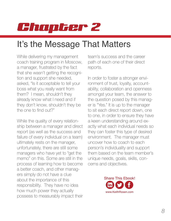## <span id="page-7-0"></span>Chapter 2

### It's the Message That Matters

While delivering my management coach training program in Moscow, a manager, frustrated by the fact that she wasn't getting the recognition and support she needed, asked, "Is it acceptable to tell your boss what you really want from them? I mean, shouldn't they already know what I need and if they don't know, shouldn't they be the one to find out?"

While the quality of every relationship between a manager and direct report (as well as the success and failure of every individual on a team) ultimately rests on the manager, unfortunately, there are still some managers who have yet to "get the memo" on this. Some are still in the process of learning how to become a better coach, and other managers simply do not have a clue about the importance of this responsibility. They have no idea how much power they actually possess to measurably impact their

team's success and the career path of each one of their direct reports.

In order to foster a stronger environment of trust, loyalty, accountability, collaboration and openness amongst your team, the answer to the question posed by this manager is "Yes." It is up to the manager to sit each direct report down, one to one, in order to ensure they have a keen understanding around exactly what each individual needs so they can foster this type of desired environment. The manager must uncover how to coach to each person's individuality and support them based on the team member's unique needs, goals, skills, concerns and objectives.

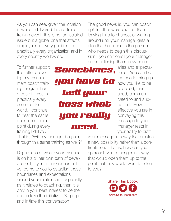As you can see, given the location in which I delivered this particular training event, this is not an isolated issue but a global one that affects employees in every position, in practically every organization and in every country worldwide.

The good news is, you can coach up! In other words, rather than leaving it up to chance, or waiting around until your manager gets a clue that he or she is the person who needs to begin this discussion, you can enroll your manager on establishing these new bound-

To further support this, after delivering my management coach training program hundreds of times in practically every corner of the world, I continue to hear the same question at some point during every training I deliver.

Sometimes, you have to tell your boss what you really need.

aries and expectations. You can be the one to bring up how you like to be coached, managed, communicated to and supported. How effective you are in conveying this message to your manager rests in your ability to craft

That is, "Will my manager be going through this same training as well?"

Regardless of where your manager is on his or her own path of development, if your manager has not yet come to you to establish these boundaries and expectations around your relationship, especially as it relates to coaching, then it is only in your best interest to be the one to take the initiative. Step up and initiate this conversation.

your message in a way that creates a new possibility rather than a confrontation. That is, how can you approach your manager in a way that would open them up to the point that they would want to listen to you?

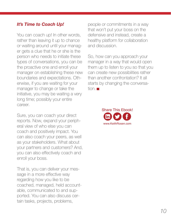#### *It's Time to Coach Up!*

You can coach up! In other words, rather than leaving it up to chance or waiting around until your manager gets a clue that he or she is the person who needs to initiate these types of conversations, you can be the proactive one and enroll your manager on establishing these new boundaries and expectations. Otherwise, if you are waiting for your manager to change or take the initiative, you may be waiting a very long time; possibly your entire career.

Sure, you can coach your direct reports. Now, expand your peripheral view of who else you can coach and positively impact. You can also coach your peers, as well as your stakeholders. What about your partners and customers? And, you can also effectively coach and enroll your boss.

That is, you can deliver your message in a more effective way regarding how you like to be coached, managed, held accountable, communicated to and supported. You can also discuss certain tasks, projects, problems,

people or commitments in a way that won't put your boss on the defensive and instead, create a healthy platform for collaboration and discussion.

So, how can you approach your manager in a way that would open them up to listen to you so that you can create new possibilities rather than another confrontation? It all starts by changing the conversation.  $\blacksquare$ 

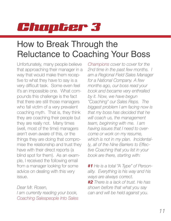## <span id="page-10-0"></span>Chapter 3

### How to Break Through the Reluctance to Coaching Your Boss

Unfortunately, many people believe that approaching their manager in a way that would make them receptive to what they have to say is a very difficult task. Some even feel it's an impossible one. What compounds this challenge is the fact that there are still those managers who fall victim of a very prevalent coaching myth. That is, they think they are coaching their people but they are really not. Many times (well, most of the time) managers aren't even aware of this, or the things they are doing that compromise the relationship and trust they have with their direct reports (a blind spot for them). As an example, I received the following email from a manager looking for some advice on dealing with this very issue.

*Dear Mr. Rosen, I am currently reading your book, [Coaching Salespeople Into Sales](http://coachingsalespeople.com)* 

*[Champions](http://coachingsalespeople.com) cover to cover for the 2nd time in the past few months. I am a Regional Field Sales Manager for a National Company. A few months ago, our boss read your book and became very enthralled by it. Now, we have begun "Coaching" our Sales Reps. The biggest problem I am facing now is that my boss has decided that he will coach us, the management team, beginning with me. I am having issues that I need to overcome or work on my resume, which is not in my plan. Incidentally, all of the Nine Barriers to Effective Coaching that you list in your book are there, starting with:*

*#1 He is a total "A Type" of Personality. Everything is his way and his ways are always correct. #2 There is a lack of trust. He has shown before that what you say can and will be held against you.*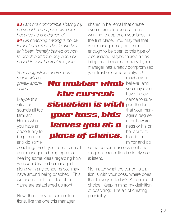*#3 I am not comfortable sharing my personal life and goals with him because he is judgmental. #4 His coaching training is no different from mine. That is, we haven't been formally trained on how to coach and have only been exposed to your book at this point.* 

shared in her email that create even more reluctance around wanting to approach your boss in the first place. You may feel that your manager may not care enough to be open to this type of discussion. Maybe there's an existing trust issue, especially if your manager has already compromised your trust or confidentiality. Or

*Your suggestions and/or com-*

*ments will be greatly appreciated*.

Maybe this situation sounds all too familiar? Here's where you have an opportunity to be proactive and do some

No matter what believe, and situation is with port the fact, the current your boss, this leaves you at a place of choice.

maybe you you may even have the evidence to supthat your manager's degree of self awareness or his or her ability to look in the mirror and do

coaching. First, you need to enroll your manager in being open to hearing some ideas regarding how you would like to be managed, along with any concerns you may have around being coached. This will ensure that the rules of the game are established up front.

Now, there may be some situations, like the one this manager

some personal assessment and diagnostic reflection is simply nonexistent.

No matter what the current situation is with your boss, where does that leave you today? At a place of choice. Keep in mind my definition of coaching: The art of creating possibility.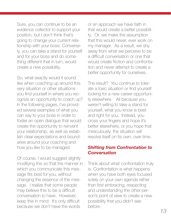Sure, you can continue to be an evidence collector to support your position, but I don't think that's going to change your current relationship with your boss. Conversely, you can take a stand for yourself and for your boss and do something different that in turn, would create a new possibility.

So, what exactly would it sound like when coaching up around this very situation or other situations you find yourself in where you recognize an opportunity to coach up? In the following pages, I've provided several examples of what you can say to your boss in order to foster an open dialogue that would create the opportunity to reinvent your relationship, as well as establish clear expectations and boundaries around your coaching and how you like to be managed.

Of course, I would suggest slightly modifying this so that the manner in which you communicate this message fits best for you, without changing the essence of the message. I realize that some people may believe this to be a difficult conversation to have. However, keep this in mind: It's only difficult because we don't have the words

or an approach we have faith in that would create a better possibility. Or, we make the assumption that this would never, ever work on my manager. As a result, we shy away from what we perceive to be a difficult conversation or one that would create friction and confrontation and never attempt to create a better opportunity for ourselves.

The result? You continue to tolerate a toxic situation or find yourself looking for a new career opportunity elsewhere. All because you weren't willing to take a stand for yourself, what you know is best and right for you. Instead, you cross your fingers and hope it's better elsewhere, or you hope that miraculously, the situation will resolve itself on its own, over time.

#### *Shifting from Confrontation to Conversation*

Think about what confrontation truly is. Confrontation is what happens when you have both eyes focused solely on your own agenda rather than first embracing, respecting and understanding the other person's point of view to create a new possibility that you didn't see before.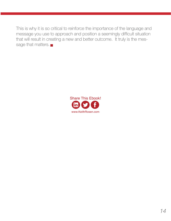This is why it is so critical to reinforce the importance of the language and message you use to approach and position a seemingly difficult situation that will result in creating a new and better outcome. It truly is the message that matters.

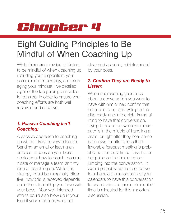# <span id="page-14-0"></span>Chapter 4

### Eight Guiding Principles to Be Mindful of When Coaching Up

While there are a myriad of factors to be mindful of when coaching up, including your disposition, your communication strategy, and managing your mindset, I've detailed eight of the top guiding principles to consider in order to ensure your coaching efforts are both well received and effective.

#### *1. Passive Coaching Isn't Coaching:*

A passive approach to coaching up will not likely be very effective. Sending an email or leaving an article or a book on your boss' desk about how to coach, communicate or manage a team isn't my idea of coaching up. While this strategy could be marginally effective, how this is received depends upon the relationship you have with your boss. Your well-intended efforts could also blow up in your face if your intentions were not

clear and as such, misinterpreted by your boss.

#### *2. Confirm They are Ready to Listen:*

When approaching your boss about a conversation you want to have with him or her, confirm that he or she is not only willing but is also ready and in the right frame of mind to have that conversation. Trying to coach up while your manager is in the middle of handling a crisis, or right after they hear some bad news, or after a less than favorable forecast meeting is probably not the best time. Take his or her pulse on the timing before jumping into the conversation. It would probably be more effective to schedule a time on both of your calendars to have this conversation to ensure that the proper amount of time is allocated for this important discussion.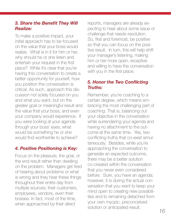#### *3. Share the Benefit They Will Realize:*

To make a positive impact, your initial approach has to be focused on the value that your boss would realize. What is in it for him or her, why should he or she listen and entertain your request in the first place? While it's clear that you're having this conversation to create a better opportunity for yourself, how you position the conversation is critical. As such, approach this discussion not solely focused on you and what you want, but on the greater goal or meaningful result and the value that your boss, and even your company would experience. If you were looking at your agenda through your boss' eyes, what would be something he or she would find worthwhile to achieve?

#### *4. Positive Positioning is Key:*

Focus on the pleasure, the goal, or the end result rather than dwelling on the problem. Managers get tired of hearing about problems or what is wrong and they hear these things throughout their entire day from multiple sources; their customers, employees, vendors, even their bosses. In fact, most of the time, when approached by their direct

reports, managers are already expecting to hear about some issue or challenge that needs resolution. So, first and foremost, be positive so that you can focus on the positive result. In turn, this will help shift your manager's listening, making him or her more open, receptive and willing to have the conversation with you in the first place.

#### *5. Honor the Two Conflicting Truths:*

Remember, you're coaching to a certain degree, which means embracing the most challenging part of coaching. That is, balancing out your objective in the conversation while surrendering your agenda and having no attachment to the outcome at the same time. Yes, two conflicting truths that co-exist simultaneously. Besides, while you're approaching the conversation to generate an expected outcome, there may be a better solution co-created within the conversation that you never even considered before. Sure, you have an agenda; however, it is during the actual conversation that you want to keep your mind open to creating new possibilities and to remaining detached from your own myopic, preconceived solution or anticipated result.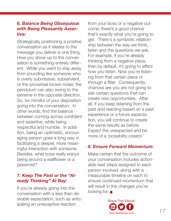#### *6. Balance Being Obsequious with Being Pleasantly Assertive:*

Strategically positioning a positive conversation as it relates to the message you deliver is one thing. How you show up to the conversation is something entirely different. While you want to stay away from sounding like someone who is overly submissive, subservient, or the proverbial brown noser, the pendulum can also swing to the extreme in the opposite direction. So, be mindful of your disposition going into the conversation. In other words, find the balance between coming across confident and assertive, while being respectful and humble. In addition, being an optimistic, encouraging person goes a long way in facilitating a deeper, more meaningful interaction with someone. Besides, what boss really enjoys being around a wallflower or a pessimist?

#### *7. Keep The Past or the "Already Thinking" At Bay:*

If you're already going into the conversation with a less than desirable expectation, such as anticipating an unreceptive reaction

from your boss or a negative outcome, there's a good chance that's exactly what you're going to get. There's a symbiotic relationship between the way we think, listen and the questions we ask. For example, if you're already thinking from a negative place, then by default, it's going to affect how you listen. Now you're listening from that certain place or through a filter. Consequently, chances are you are not going to ask certain questions that can create new opportunities. After all, if you keep listening from the past and reacting based on a past experience or a future expectation, you will continue to create the same results as before. Expect the unexpected and be more of a 'possibility creator.'

#### *8. Ensure Forward Momentum:*

Make certain that the outcome of your conversation includes actionable next steps assigned to each person involved, along with a measurable timeline on each to ensure continued momentum that will result in the changes you're looking for.

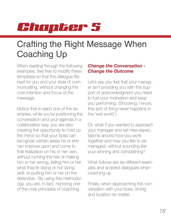## <span id="page-17-0"></span>Chapter 5

### Crafting the Right Message When Coaching Up

When reading through the following examples, feel free to modify these templates so that the dialogue fits best for you and your style of communicating, without changing the core intention and focus of the message.

Notice that in each one of the examples, while you're positioning the conversation and your agenda in a collaborative way, you are also creating the opportunity to hold up the mirror so that your boss can recognize certain areas he or she can improve upon and come to that realization on his or her own, without running the risk of making him or her wrong, telling him or her what they're doing or not doing well, or putting him or her on the defensive. By using this methodology, you are, in fact, honoring one of the core principles of coaching.

#### *Change the Conversation - Change the Outcome*

Let's say you feel that your manager isn't providing you with the support or acknowledgment you need to fuel your motivation and keep you performing. (Shocking, I know, this sort of thing never happens in the 'real world.')

Or, what if you wanted to approach your manager and set new expectations around how you work together and how you like to be managed, without sounding like your whining and complaining?

What follows are six different examples and scripted dialogues when coaching up.

Finally, when approaching this conversation with your boss, timing and location do matter.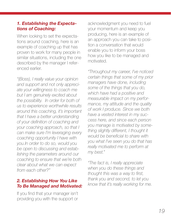#### *1. Establishing the Expectations of Coaching:*

When looking to set the expectations around coaching, here is an example of coaching up that has proven to work for many people in similar situations, including the one described by the manager I referenced earlier.

*"(Boss), I really value your opinion and support and not only appreciate your willingness to coach me but I am genuinely excited about the possibility. In order for both of us to experience worthwhile results around this coaching, it's important that I have a better understanding of your definition of coaching and your coaching approach, so that I can make sure I'm leveraging every coaching opportunity I have with you.In order to do so, would you be open to discussing and establishing the parameters around our coaching to ensure that we're both clear about what we can expect from each other?"*

#### *2. Establishing How You Like To Be Managed and Motivated:*

If you find that your manager isn't providing you with the support or

acknowledgment you need to fuel your momentum and keep you producing, here is an example of an approach you can take to position a conversation that would enable you to inform your boss how you like to be managed and motivated.

*"Throughout my career, I've noticed certain things that some of my prior managers have done, including some of the things that you do, which have had a positive and measurable impact on my performance, my attitude and the quality of work I produce. Since we both have a vested interest in my success here, and since each person you manage is motivated by something slightly different, I thought it would be beneficial to share with you what I've seen you do that has really motivated me to perform at my best."* 

*"The fact is, I really appreciate when you do these things and thought this was a way to first, thank you and second, to let you know that it's really working for me.*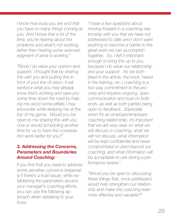*I know how busy you are and that you have so many things coming at you. And I know that a lot of the time, you're hearing about the problems and what's not working, rather than hearing some acknowledgment of what is working."* 

*"Since I do value your opinion and support, I thought that by sharing this with you and putting this in front of your line of vision, it will reinforce what you may already know that's working and save you some time down the road by helping me avoid some pitfalls I may encounter while keeping me at the top of my game. Would you be open to me sharing this with you now or would scheduling another time for us to have this conversation work better for you?"*

#### *3. Addressing the Concerns, Parameters and Boundaries Around Coaching:*

If you find that you need to address some sensitive concerns (especially if there's a trust issue), while establishing the parameters around your manager's coaching efforts, you can use the following approach when speaking to your boss.

*"I have a few questions about moving forward in a coaching relationship with you that we have not addressed to date and I don't want anything to become a barrier to the great work we can accomplish together. So, I felt it important enough to bring this up to you, because I do value our relationship and your support. As we both (read in the article, the book, heard in the training, etc.) coaching is a two way commitment to the process and requires ongoing, open communication and trust on both ends, as well as both parties being open to feedback. Especially when it's an employer/employee coaching relationship, it's important that we are very clear on what we will discuss in coaching, what we will not discuss, what information will be kept confidential and never compromised or used beyond our coaching, and what information will be acceptable to use during a performance review."* 

*"Would you be open to discussing these things that, once addressed, would help strengthen our relationship and make the coaching even more effective and valuable?"*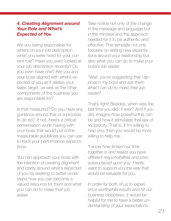#### *4. Creating Alignment around Your Role and What's Expected of You*

Are you being responsible for what's on your job description when you were hired for your current role? Have you even looked at your job description recently? Do you even have one? Are you and your boss aligned with what's expected of you as it relates your sales target, as well as the other components of the business you are responsible for?

Is that measured? Do you have any guidance around that or a process to do so? If not, here's a critical conversation worth having with your boss that would put some measurable guidelines you can use to track your performance expectations.

You can approach your boss with the intention of creating alignment and clarity around what's expected of you by seeking to better understand how you can become a valued resource for them and what you can do to make their job easier.

Take notice not only of the change in the message and language but in the mindset and the approach needed for it to be authentic and effective. This template not only focuses on setting new expectations around your relationship but also what you can do to make your boss's job easier.

*"Wait, you're suggesting that I approach my boss and ask them what I can do to make their job easier?*

That's right! Besides, when was the last time you did, if ever? And if you did, imagine how powerful this can be and how it stimulates that law of reciprocity. That is, if I'm willing to help you, then you would be more willing to help me.

*"I know how limited our time together is and realize you have different responsibilities and pressures placed upon you. I really want to support you the way that would be valuable for you.* 

*In order for both of us to experience worthwhile results and hit our business objectives, it would be helpful for me to have a better understanding of your expectations*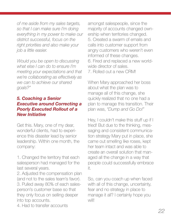*of me aside from my sales targets, so that I can make sure I'm doing everything in my power to make our district successful, focus on the right priorities and also make your job a little easier.*

*Would you be open to discussing what else I can do to ensure I'm meeting your expectations and that we're collaborating as effectively as we can to achieve our shared goals?"*

#### *5. Coaching a Senior Executive around Correcting a Poorly Executed Rollout of a New Initiative*

Get this. Mary, one of my dear, wonderful clients, had to experience this disaster lead by senior leadership. Within one month, the company:

1. Changed the territory that each salesperson had managed for the last several years.

2. Adjusted the compensation plan (and not to the sales team's favor). 3. Pulled away 80% of each salesperson's customer base so that they only focus on selling deeper into top accounts.

amongst salespeople, since the majority of accounts changed ownership when territories changed. 5. Created a swarm of emails and calls into customer support from angry customers who weren't even informed of these changes. 6. Fired and replaced a new worldwide director of sales. 7. Rolled out a new CRM!

When Mary approached her boss about what the plan was to manage all of this change, she quickly realized that no one had a plan to manage this transition. Their plan was, *"Dump and Go Do!"*

Hey, I couldn't make this stuff up if I tried! But due to the thinking, messaging and consistent communication strategy Mary put in place, she came out smelling like roses, kept her team intact and was able to create an overall solution that managed all the change in a way that people could successfully embrace it.

So, can you coach up when faced with all of this change, uncertainty, fear and no strategy in place to manage it all? I certainly hope you will!

4. Had to transfer accounts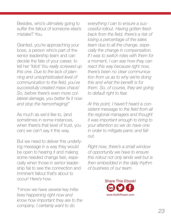Besides, who's ultimately going to suffer the fallout of someone else's mistake? You.

Granted, you're approaching your boss, a person who's part of the senior leadership team and can decide the fate of your career, to tell her *"Idiot! You really screwed up this one. Due to the lack of planning and unsophisticated level of communication to the field, you've successfully created mass chaos! So, before there's even more collateral damage, you better fix it now and stop the hemorrhaging!"*

As much as we'd like to, (and sometimes in some instances, when there's that level of trust, you can) we can't say it this way.

But we need to deliver this underlying message in a way they would be open to hearing it and making some needed change fast, especially when those in senior leadership fail to see the connection and imminent fallout that's about to occur! Here's how.

*"I know we have several key initiatives happening right now and know how important they are to the company. I certainly want to do* 

*everything I can to ensure a successful rollout. Having gotten feedback from the field, there's a risk of losing a percentage of the sales team due to all the change, especially the change in compensation. If I was to switch roles with them for a moment, I can see how they can react this way because right now, there's been no clear communication from us as to why we're doing this and what the benefit is for them. So, of course, they are going to default right to fear.*

*At this point, I haven't heard a consistent message to the field from all the regional managers and thought it was important enough to bring to your attention so we do have one in order to mitigate panic and fallout.* 

*Right now, there's a small window of opportunity we have to ensure this rollout not only lands well but is then embedded in the daily rhythm of business of our team.*

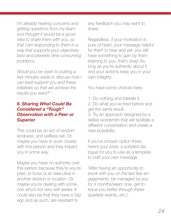*I'm already hearing concerns and getting questions from my team and thought it would be a good idea to share them with you, so that I am responding to them in a way that supports your objectives best and prevents time consuming problems.* 

*Would you be open to putting a few minutes aside to discuss how I can best support you and these initiatives so that we achieve the results you want?"* 

#### *6. Sharing What Could Be Considered a "Tough" Observation with a Peer or Superior*

This could be an act of random kindness, and selfless will. Or, maybe you have to work closely with this person and they impact you in some way.

Maybe you have no authority over this person because they're you're peer, or boss or an executive in another division or location. Or, maybe you're dealing with someone who's not very self-aware. It could also be that they have a 'big' ego and as such, are resistant to

any feedback you may want to share.

Regardless, if your motivation is pure of heart, your message helpful for them to hear and yet, you still have something to gain by them listening to you, that's okay! As long as you're authentic about it and your actions keep you in your own integrity.

You have some choices here:

1. Do nothing and tolerate it.

2. Do what you've tried before and get the same result.

3. Try an approach designed by a skilled wordsmith that will facilitate a different conversation and create a new possibility.

If you've chosen option three, here's your prize; a scripted dialogue for you to use as a template to craft your own message.

*"After having an opportunity to (work with you on the last few engagements, be managed by you for X months/years now, get to know you better through these quarterly events, etc.)*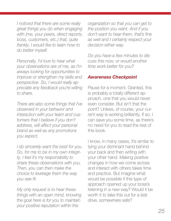*I noticed that there are some really great things you do when engaging with (me, your peers, direct reports, boss, customers, etc.) that, quite frankly, I would like to learn how to do better myself.*

*Personally, I'd love to hear what your observations are of me, as I'm always looking for opportunities to improve or strengthen my skills and perspective. So, I would really appreciate any feedback you're willing to share.*

*There are also some things that I've observed in your behavior and interaction with your team and customers that I believe if you don't address, will affect your personal brand as well as any promotions you expect.*

*I do sincerely want the best for you. So, for me to be in my own integrity, I feel it's my responsibility to share these observations with you. Then, you can then make the choice to leverage them the way you see fit.* 

*My only request is to hear these things with an open mind, knowing the goal here is for you to maintain your positive reputation within the* 

*organization so that you can get to the position you want. And if you don't want to hear them, that's fine as well and I certainly respect your decision either way.* 

*Do you have a few minutes to discuss this now, or would another time work better for you?* 

#### *Awareness Checkpoint*

Pause for a moment. Granted, this is probably a totally different approach, one that you would never even consider. But isn't that the point? Unless, of course, your current way is working brilliantly. If so, I can save you some time, as there's no need for you to read the rest of this book.

I know, in many cases, it's similar to tying your dominant hand behind your back and then writing with your other hand. Making positive changes in how we come across and interact with others takes time and practice. But imagine what would be possible if this type of approach opened up your boss's listening in a new way? Would it be worth it to take this out for a test drive, somewhere safe?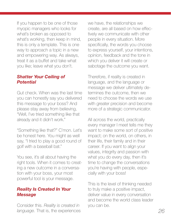If you happen to be one of those myopic managers who looks for what's broken as opposed to what's working, then keep in mind, this is only a template. This is one way to approach a topic in a new and empowering way. As always, treat it as a buffet and take what you like; leave what you don't.

#### *Shatter Your Ceiling of Potential*

Gut check. When was the last time you can honestly say you delivered this message to your boss? And please stay away from believing, "Well, I've tried something like that already and it didn't work."

"Something like that?" C'mon. Let's be honest here. You might as well say, "I tried to play a good round of golf with a baseball bat."

You see, it's all about having the right tools. When it comes to creating a new outcome in a conversation with your boss, your most powerful tool is your message.

#### *Reality Is Created In Your Message*

Consider this. *Reality is created in language.* That is, the experiences we have, the relationships we create, are all based on how effectively we communicate with other people in every situation. More specifically, the words you choose to express yourself, your intentions, opinion, feedback and the tone in which you deliver it will create or sabotage the outcome you want.

Therefore, if reality is created in language, and the language or message we deliver ultimately determines the outcome, then we need to choose the words we use with greater precision and become more of a strategic communicator.

All across the world, practically every manager I meet tells me they want to make some sort of positive impact; on the world, on others, in their life, their family and in their career. If you want to align your values, integrity and passion with what you do every day, then it's time to change the conversations you're having with people, especially with your boss!

This is the level of thinking needed to truly make a positive impact, deliver value in every conversation and become the world class leader you can be.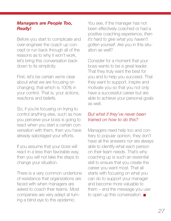#### *Managers are People Too, Really!*

Before you start to complicate and over-engineer the coach up concept or run back through all of the reasons as to why it won't work, let's bring this conversation back down to its simplicity.

First, let's be certain we're clear about what we are focusing on changing; that which is 100% in your control. That is, your actions, reactions and beliefs.

So, if you're focusing on trying to control anything else, such as how you perceive your boss is going to react when you start a certain conversation with them, then you have already sabotaged your efforts.

If you assume that your boss will react in a less than favorable way, then you will not take the steps to change your situation.

There is a very common undertone of resistance that organizations are faced with when managers are asked to coach their teams. Most companies are very adept at turning a blind eye to this epidemic.

You see, if the manager has not been effectively coached or had a positive coaching experience, *then it's hard to give what you haven't gotten yourself.* Are you in this situation as well?

Consider for a moment that your boss wants to be a great leader. That they truly want the best for you and to help you succeed. That they want to support, inspire and motivate you so that you not only have a successful career but are able to achieve your personal goals as well.

#### *But what if they've never been trained on how to do this?*

Managers need help too and contrary to popular opinion, they don't have all the answers nor are always able to identify what each person on their team needs. That's why coaching up is such an essential skill to ensure that you create the career you want most. That all starts with focusing on what you can do to support your manager and become more valuable to them – and the message you use to open up this conversation.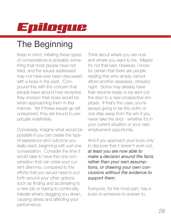# <span id="page-27-0"></span>Epilogue

## The Beginning

Keep in mind, initiating these types of conversations is probably something that most people have not tried, and the issues addressed may not have ever been discussed with a boss in the past. Compound this with the concern that people have around how receptive they envision their boss would be when approaching them in this manner. Yet if these issues go left unexplored, they are bound to perpetuate indefinitely.

Conversely, imagine what would be possible if you can create the type of experience and outcome you really want, beginning with just one conversation. Consider the time it would take to have this one conversation that can solve your current dilemma, compared to the efforts that you would need to put forth around your other options, such as finding and acclimating to a new job or having to continually tolerate what's dragging you down, causing stress and affecting your performance.

Think about where you are now and where you want to be. Maybe it's not that bad. However, I know for certain that there are people reading this who simply cannot afford another sleepless, stressful night. Some may already have their resume ready to be sent out the door to a new prospective employer. If that's the case, you're always going to be the victim or one step away from the win if you never take the shot - whether it's in your current situation or your next employment opportunity.

And if you approach your boss only to discover that it doesn't work out, *at least you are now able to make a decision around the facts rather than your own assumptions, or drawing your own conclusions without the evidence to support them.*

Everyone, for the most part, has a boss or someone to answer to.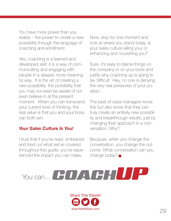You have more power than you realize – the power to create a new possibility through the language of coaching and enrollment.

Yes, coaching is a learned and developed skill; it is a way of communicating and engaging with people in a deeper, more meaningful way. It is the art of creating a new possibility, the possibility that you may not even be aware of nor even believe in at the present moment. When you can transcend your current level of thinking, the real value is that you and your boss can both win.

#### *Your Sales Culture Is You!*

I trust that if you've read, embraced and tried out what we've covered throughout this guide, you've experienced the impact you can make.

Now, stop for one moment and look at where you stand today. Is your sales culture killing your or enhancing and nourishing you?

Sure, it's easy to blame things on the company or on your boss and justify why coaching up is going to be 'difficult.' Hey, no one is denying the very real pressures of your position.

The best of class managers know this but also know that they can truly create an entirely new possibility and breakthrough results; just by changing their approach in a conversation. Why?

Because, when you change the conversation, you change the outcome. What conversation can you change today?



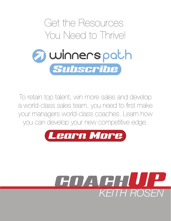

To retain top talent, win more sales and develop a world-class sales team, you need to first make your managers world-class coaches. Learn how you can develop your new competitive edge.